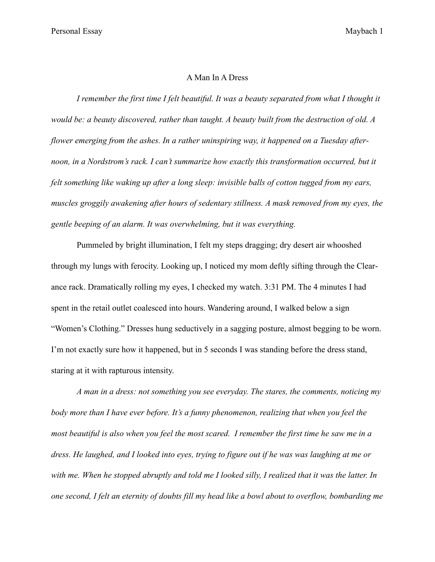## A Man In A Dress

*I remember the first time I felt beautiful. It was a beauty separated from what I thought it would be: a beauty discovered, rather than taught. A beauty built from the destruction of old. A flower emerging from the ashes. In a rather uninspiring way, it happened on a Tuesday after*noon, in a Nordstrom's rack. I can't summarize how exactly this transformation occurred, but it *felt something like waking up after a long sleep: invisible balls of cotton tugged from my ears, muscles groggily awakening after hours of sedentary stillness. A mask removed from my eyes, the gentle beeping of an alarm. It was overwhelming, but it was everything.* 

Pummeled by bright illumination, I felt my steps dragging; dry desert air whooshed through my lungs with ferocity. Looking up, I noticed my mom deftly sifting through the Clearance rack. Dramatically rolling my eyes, I checked my watch. 3:31 PM. The 4 minutes I had spent in the retail outlet coalesced into hours. Wandering around, I walked below a sign "Women's Clothing." Dresses hung seductively in a sagging posture, almost begging to be worn. I'm not exactly sure how it happened, but in 5 seconds I was standing before the dress stand, staring at it with rapturous intensity.

*A man in a dress: not something you see everyday. The stares, the comments, noticing my body more than I have ever before. It's a funny phenomenon, realizing that when you feel the most beautiful is also when you feel the most scared. I remember the first time he saw me in a dress. He laughed, and I looked into eyes, trying to figure out if he was was laughing at me or with me. When he stopped abruptly and told me I looked silly, I realized that it was the latter. In one second, I felt an eternity of doubts fill my head like a bowl about to overflow, bombarding me*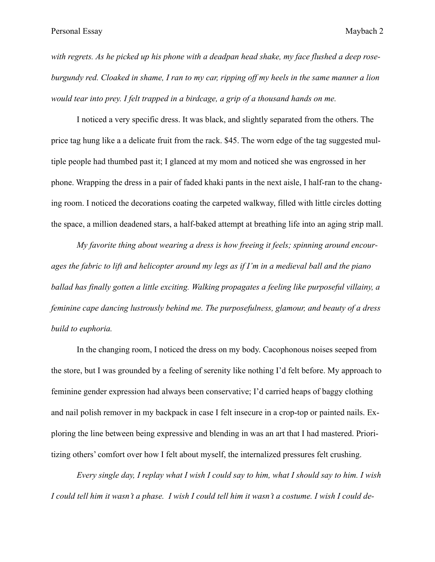*with regrets. As he picked up his phone with a deadpan head shake, my face flushed a deep roseburgundy red. Cloaked in shame, I ran to my car, ripping off my heels in the same manner a lion would tear into prey. I felt trapped in a birdcage, a grip of a thousand hands on me.* 

I noticed a very specific dress. It was black, and slightly separated from the others. The price tag hung like a a delicate fruit from the rack. \$45. The worn edge of the tag suggested multiple people had thumbed past it; I glanced at my mom and noticed she was engrossed in her phone. Wrapping the dress in a pair of faded khaki pants in the next aisle, I half-ran to the changing room. I noticed the decorations coating the carpeted walkway, filled with little circles dotting the space, a million deadened stars, a half-baked attempt at breathing life into an aging strip mall.

*My favorite thing about wearing a dress is how freeing it feels; spinning around encourages the fabric to lift and helicopter around my legs as if I'm in a medieval ball and the piano ballad has finally gotten a little exciting. Walking propagates a feeling like purposeful villainy, a feminine cape dancing lustrously behind me. The purposefulness, glamour, and beauty of a dress build to euphoria.*

In the changing room, I noticed the dress on my body. Cacophonous noises seeped from the store, but I was grounded by a feeling of serenity like nothing I'd felt before. My approach to feminine gender expression had always been conservative; I'd carried heaps of baggy clothing and nail polish remover in my backpack in case I felt insecure in a crop-top or painted nails. Exploring the line between being expressive and blending in was an art that I had mastered. Prioritizing others' comfort over how I felt about myself, the internalized pressures felt crushing.

*Every single day, I replay what I wish I could say to him, what I should say to him. I wish I could tell him it wasn't a phase. I wish I could tell him it wasn't a costume. I wish I could de-*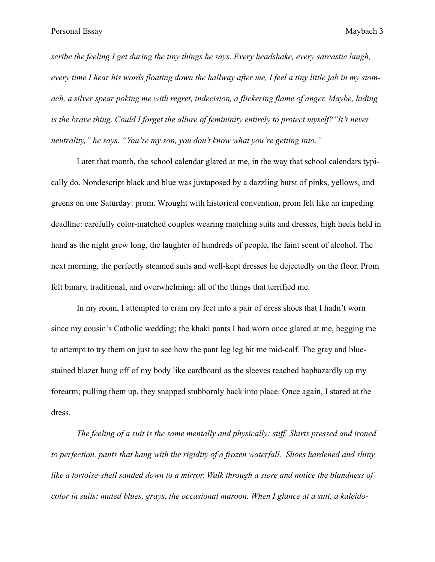*scribe the feeling I get during the tiny things he says. Every headshake, every sarcastic laugh, every time I hear his words floating down the hallway after me, I feel a tiny little jab in my stomach, a silver spear poking me with regret, indecision, a flickering flame of anger. Maybe, hiding is the brave thing. Could I forget the allure of femininity entirely to protect myself?"It's never neutrality," he says. "You're my son, you don't know what you're getting into."* 

Later that month, the school calendar glared at me, in the way that school calendars typically do. Nondescript black and blue was juxtaposed by a dazzling burst of pinks, yellows, and greens on one Saturday: prom. Wrought with historical convention, prom felt like an impeding deadline: carefully color-matched couples wearing matching suits and dresses, high heels held in hand as the night grew long, the laughter of hundreds of people, the faint scent of alcohol. The next morning, the perfectly steamed suits and well-kept dresses lie dejectedly on the floor. Prom felt binary, traditional, and overwhelming: all of the things that terrified me.

In my room, I attempted to cram my feet into a pair of dress shoes that I hadn't worn since my cousin's Catholic wedding; the khaki pants I had worn once glared at me, begging me to attempt to try them on just to see how the pant leg leg hit me mid-calf. The gray and bluestained blazer hung off of my body like cardboard as the sleeves reached haphazardly up my forearm; pulling them up, they snapped stubbornly back into place. Once again, I stared at the dress.

*The feeling of a suit is the same mentally and physically: stiff. Shirts pressed and ironed to perfection, pants that hang with the rigidity of a frozen waterfall. Shoes hardened and shiny, like a tortoise-shell sanded down to a mirror. Walk through a store and notice the blandness of color in suits: muted blues, grays, the occasional maroon. When I glance at a suit, a kaleido-*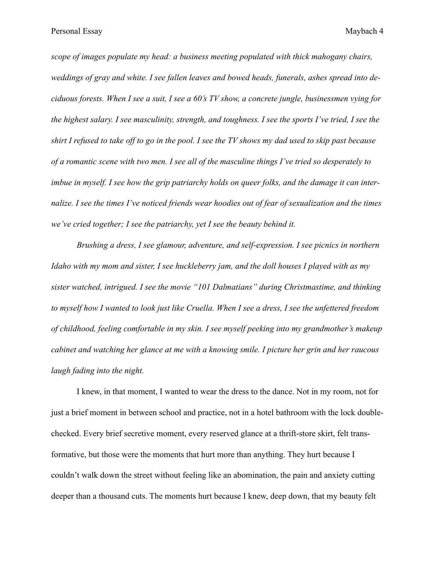*scope of images populate my head: a business meeting populated with thick mahogany chairs, weddings of gray and white. I see fallen leaves and bowed heads, funerals, ashes spread into deciduous forests. When I see a suit, I see a 60's TV show, a concrete jungle, businessmen vying for the highest salary. I see masculinity, strength, and toughness. I see the sports I've tried, I see the shirt I refused to take off to go in the pool. I see the TV shows my dad used to skip past because of a romantic scene with two men. I see all of the masculine things I've tried so desperately to imbue in myself. I see how the grip patriarchy holds on queer folks, and the damage it can internalize. I see the times I've noticed friends wear hoodies out of fear of sexualization and the times we've cried together; I see the patriarchy, yet I see the beauty behind it.*

*Brushing a dress, I see glamour, adventure, and self-expression. I see picnics in northern Idaho with my mom and sister, I see huckleberry jam, and the doll houses I played with as my sister watched, intrigued. I see the movie "101 Dalmatians" during Christmastime, and thinking to myself how I wanted to look just like Cruella. When I see a dress, I see the unfettered freedom of childhood, feeling comfortable in my skin. I see myself peeking into my grandmother's makeup cabinet and watching her glance at me with a knowing smile. I picture her grin and her raucous laugh fading into the night.*

I knew, in that moment, I wanted to wear the dress to the dance. Not in my room, not for just a brief moment in between school and practice, not in a hotel bathroom with the lock doublechecked. Every brief secretive moment, every reserved glance at a thrift-store skirt, felt transformative, but those were the moments that hurt more than anything. They hurt because I couldn't walk down the street without feeling like an abomination, the pain and anxiety cutting deeper than a thousand cuts. The moments hurt because I knew, deep down, that my beauty felt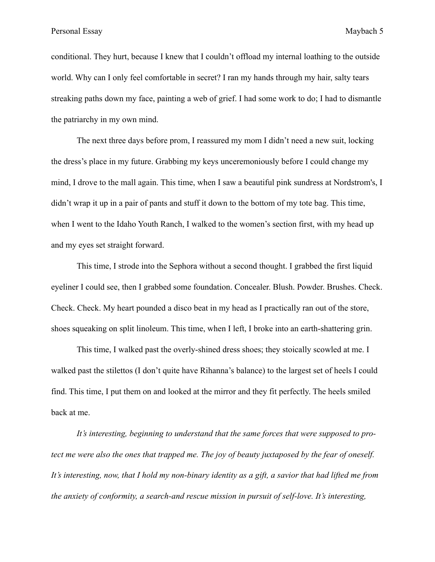conditional. They hurt, because I knew that I couldn't offload my internal loathing to the outside world. Why can I only feel comfortable in secret? I ran my hands through my hair, salty tears streaking paths down my face, painting a web of grief. I had some work to do; I had to dismantle the patriarchy in my own mind.

The next three days before prom, I reassured my mom I didn't need a new suit, locking the dress's place in my future. Grabbing my keys unceremoniously before I could change my mind, I drove to the mall again. This time, when I saw a beautiful pink sundress at Nordstrom's, I didn't wrap it up in a pair of pants and stuff it down to the bottom of my tote bag. This time, when I went to the Idaho Youth Ranch, I walked to the women's section first, with my head up and my eyes set straight forward.

This time, I strode into the Sephora without a second thought. I grabbed the first liquid eyeliner I could see, then I grabbed some foundation. Concealer. Blush. Powder. Brushes. Check. Check. Check. My heart pounded a disco beat in my head as I practically ran out of the store, shoes squeaking on split linoleum. This time, when I left, I broke into an earth-shattering grin.

This time, I walked past the overly-shined dress shoes; they stoically scowled at me. I walked past the stilettos (I don't quite have Rihanna's balance) to the largest set of heels I could find. This time, I put them on and looked at the mirror and they fit perfectly. The heels smiled back at me.

*It's interesting, beginning to understand that the same forces that were supposed to protect me were also the ones that trapped me. The joy of beauty juxtaposed by the fear of oneself. It's interesting, now, that I hold my non-binary identity as a gift, a savior that had lifted me from the anxiety of conformity, a search-and rescue mission in pursuit of self-love. It's interesting,*